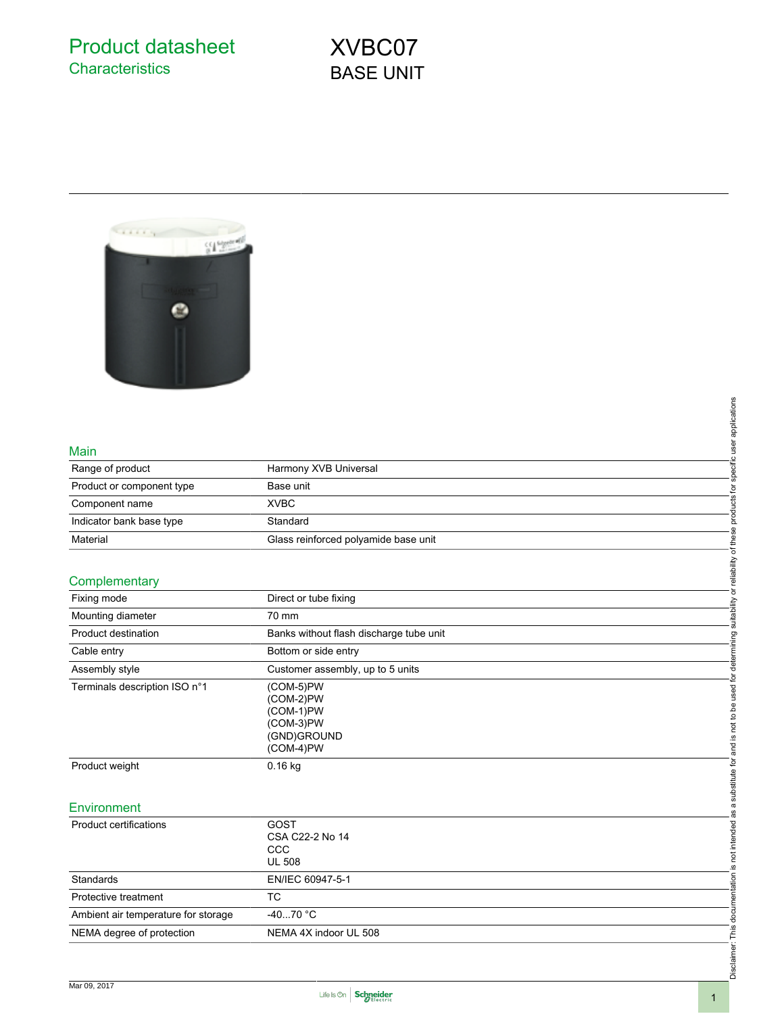Product datasheet **Characteristics** 

# XVBC07 BASE UNIT



## Main

| Range of product          | Harmony XVB Universal                |
|---------------------------|--------------------------------------|
| Product or component type | Base unit                            |
| Component name            | <b>XVBC</b>                          |
| Indicator bank base type  | Standard                             |
| Material                  | Glass reinforced polyamide base unit |

# **Complementary**

|                                     |                                         | products for specific user applications                                                                                                      |
|-------------------------------------|-----------------------------------------|----------------------------------------------------------------------------------------------------------------------------------------------|
| Main                                |                                         |                                                                                                                                              |
| Range of product                    | Harmony XVB Universal                   |                                                                                                                                              |
| Product or component type           | Base unit                               |                                                                                                                                              |
| Component name                      | <b>XVBC</b>                             |                                                                                                                                              |
| Indicator bank base type            | Standard                                |                                                                                                                                              |
| Material                            | Glass reinforced polyamide base unit    |                                                                                                                                              |
|                                     |                                         |                                                                                                                                              |
| Complementary                       |                                         |                                                                                                                                              |
| Fixing mode                         | Direct or tube fixing                   |                                                                                                                                              |
| Mounting diameter                   | 70 mm                                   |                                                                                                                                              |
| Product destination                 |                                         |                                                                                                                                              |
|                                     | Banks without flash discharge tube unit |                                                                                                                                              |
| Cable entry                         | Bottom or side entry                    |                                                                                                                                              |
| Assembly style                      | Customer assembly, up to 5 units        |                                                                                                                                              |
| Terminals description ISO n°1       | (COM-5)PW                               |                                                                                                                                              |
|                                     | (COM-2)PW<br>(COM-1)PW                  |                                                                                                                                              |
|                                     | (COM-3)PW                               |                                                                                                                                              |
|                                     | (GND)GROUND                             |                                                                                                                                              |
|                                     | (COM-4)PW                               |                                                                                                                                              |
| Product weight                      | $0.16$ kg                               |                                                                                                                                              |
|                                     |                                         |                                                                                                                                              |
| Environment                         |                                         |                                                                                                                                              |
|                                     |                                         |                                                                                                                                              |
| <b>Product certifications</b>       | GOST<br>CSA C22-2 No 14                 |                                                                                                                                              |
|                                     | CCC                                     |                                                                                                                                              |
|                                     | <b>UL 508</b>                           |                                                                                                                                              |
| Standards                           | EN/IEC 60947-5-1                        |                                                                                                                                              |
| Protective treatment                | TC                                      |                                                                                                                                              |
| Ambient air temperature for storage | $-4070 °C$                              | Disclaimer: This documentation is not intended as a substitute for and is not to be used for determining suitability or reliability of these |
| NEMA degree of protection           | NEMA 4X indoor UL 508                   |                                                                                                                                              |
|                                     |                                         |                                                                                                                                              |
|                                     |                                         |                                                                                                                                              |
|                                     |                                         |                                                                                                                                              |

#### **Environment**

| Product certifications              | GOST<br>CSA C22-2 No 14<br>CCC<br><b>UL 508</b> |
|-------------------------------------|-------------------------------------------------|
| Standards                           | EN/IEC 60947-5-1                                |
| Protective treatment                | ТC                                              |
| Ambient air temperature for storage | -40…70 °C                                       |
| NEMA degree of protection           | NEMA 4X indoor UL 508                           |

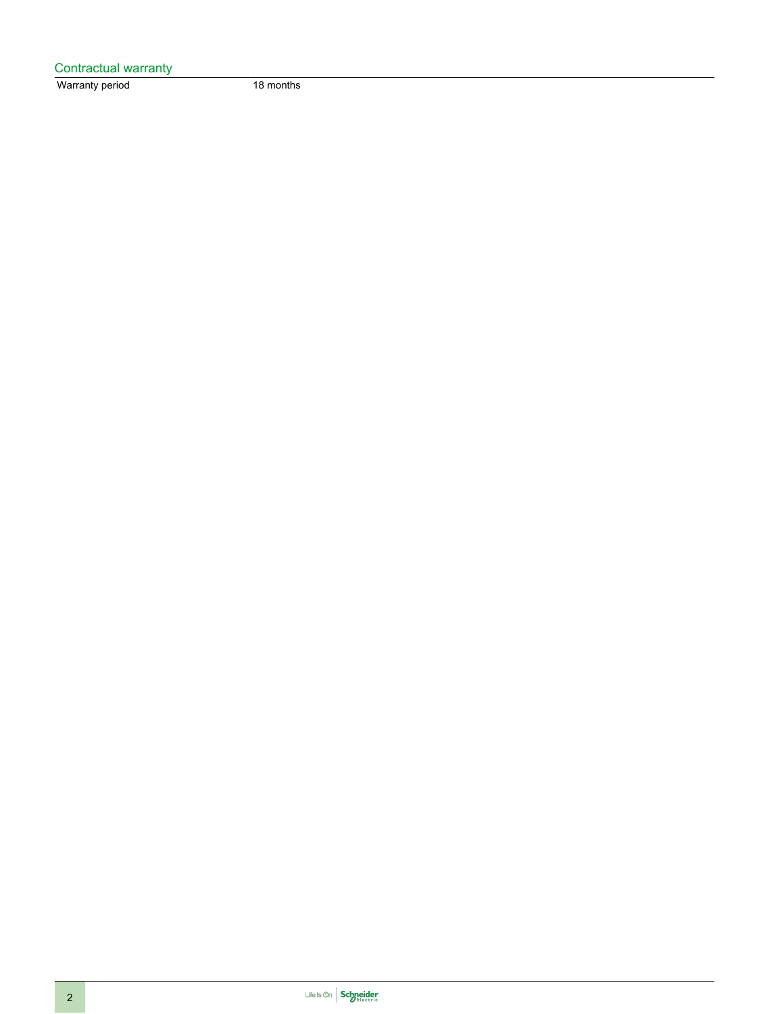| Contractual warranty |           |
|----------------------|-----------|
| Warranty period      | 18 months |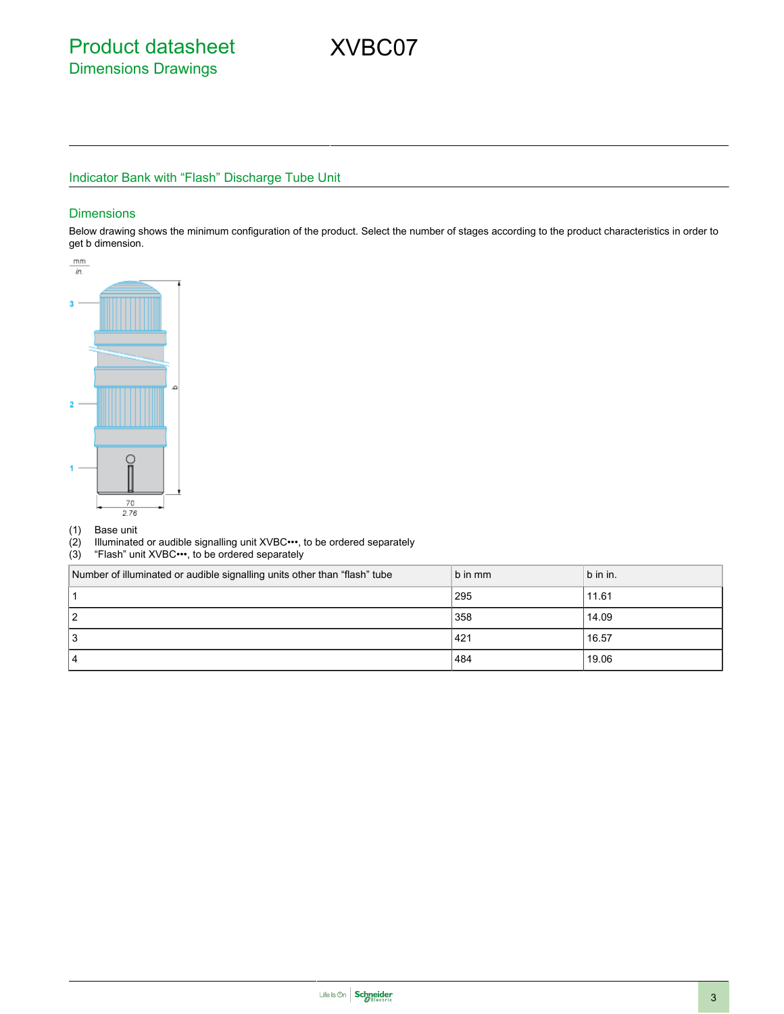# Indicator Bank with "Flash" Discharge Tube Unit

#### **Dimensions**

Below drawing shows the minimum configuration of the product. Select the number of stages according to the product characteristics in order to get b dimension.



- 
- (1) Base unit Illuminated or audible signalling unit XVBC•••, to be ordered separately
- (3) "Flash" unit XVBC•••, to be ordered separately

| Number of illuminated or audible signalling units other than "flash" tube | b in mm | b in in. |
|---------------------------------------------------------------------------|---------|----------|
|                                                                           | 295     | 11.61    |
| 2 ا                                                                       | 358     | 14.09    |
| 13                                                                        | 421     | 16.57    |
| 14                                                                        | 484     | 19.06    |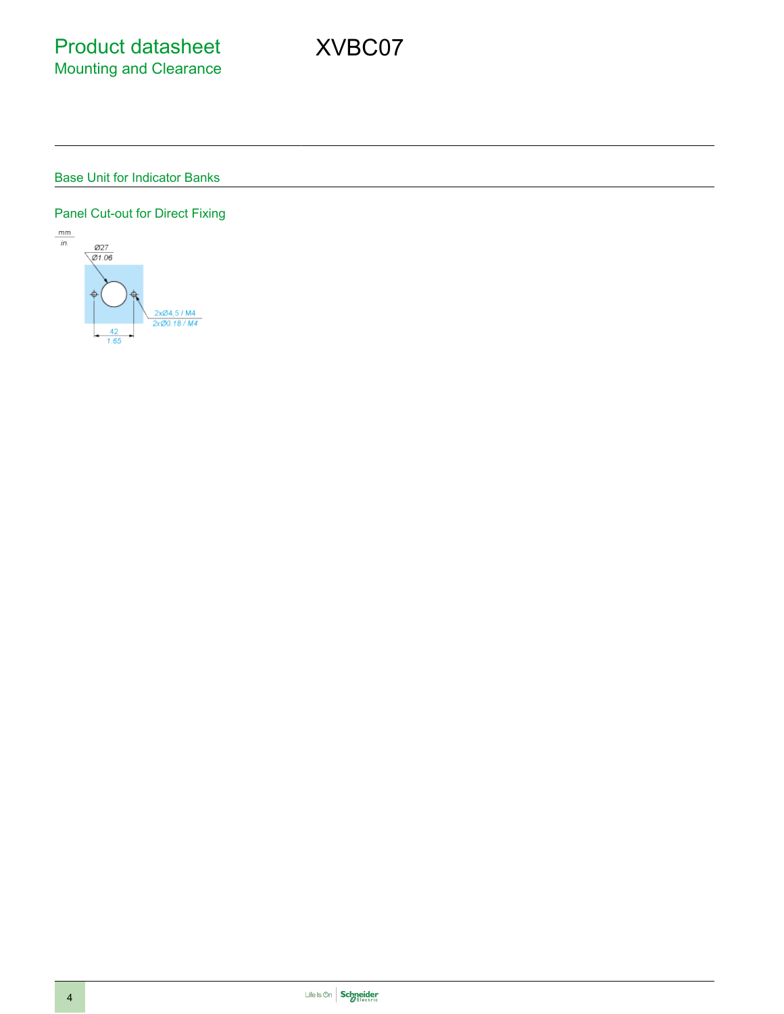## Base Unit for Indicator Banks

## Panel Cut-out for Direct Fixing